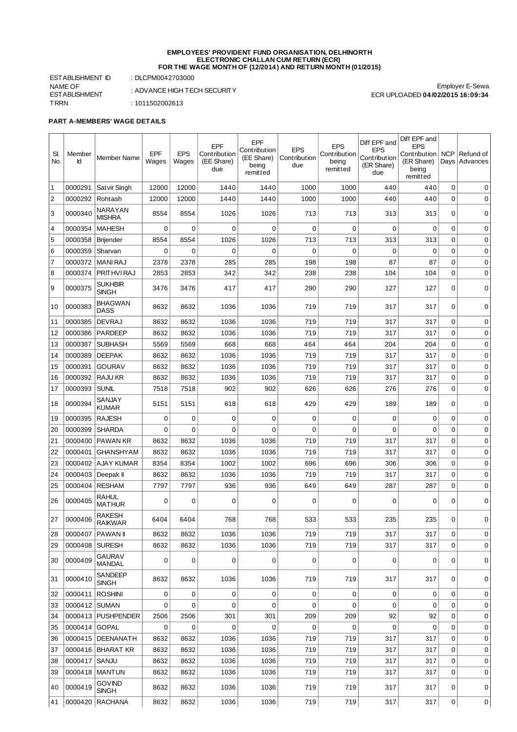#### **EMPLOYEES' PROVIDENT FUND ORGANISATION, DELHINORTH ELECTRONIC CHALLAN CUM RETURN (ECR) FOR THE WAGE MONTH OF (12/2014) AND RETURN MONTH (01/2015)**

ESTABLISHMENT ID : DLCPM0042703000 NAME OF ESTABLISHMENT TRRN : 1011502002613

: ADVANCE HIGH TECH SECURITY

Employer E-Sewa ECR UPLOADED **04/02/2015 16:09:34**

## **PART A-MEMBERS' WAGE DETAILS**

| SI.<br>No.     | Member<br>Id        | <b>Member Name</b>              | EPF<br>Wages | <b>EPS</b><br>Wages | EPF<br>Contribution<br>(EE Share)<br>due | EPF<br>Contribution<br>(EE Share)<br>being<br>remitted | <b>EPS</b><br>Contribution<br>due | <b>EPS</b><br>Contribution<br>being<br>remitted | Diff EPF and<br><b>EPS</b><br>Contribution<br>(ER Share)<br>due | Diff EPF and<br><b>EPS</b><br>Contribution  <br>(ER Share)<br>being<br>remitted | <b>NCP</b>  | Refund of<br>Days   Advances |
|----------------|---------------------|---------------------------------|--------------|---------------------|------------------------------------------|--------------------------------------------------------|-----------------------------------|-------------------------------------------------|-----------------------------------------------------------------|---------------------------------------------------------------------------------|-------------|------------------------------|
| $\mathbf{1}$   | 0000291             | Satvir Singh                    | 12000        | 12000               | 1440                                     | 1440                                                   | 1000                              | 1000                                            | 440                                                             | 440                                                                             | $\mathbf 0$ | 0                            |
| $\overline{2}$ | 0000292             | Rohtash                         | 12000        | 12000               | 1440                                     | 1440                                                   | 1000                              | 1000                                            | 440                                                             | 440                                                                             | $\mathbf 0$ | 0                            |
| 3              | 0000340             | <b>NARAYAN</b><br><b>MISHRA</b> | 8554         | 8554                | 1026                                     | 1026                                                   | 713                               | 713                                             | 313                                                             | 313                                                                             | 0           | 0                            |
| $\overline{4}$ | 0000354             | <b>MAHESH</b>                   | 0            | $\mathbf 0$         | $\mathbf 0$                              | $\Omega$                                               | $\Omega$                          | $\mathbf 0$                                     | 0                                                               | 0                                                                               | $\mathbf 0$ | 0                            |
| 5              | 0000358             | <b>Brijender</b>                | 8554         | 8554                | 1026                                     | 1026                                                   | 713                               | 713                                             | 313                                                             | 313                                                                             | $\mathbf 0$ | 0                            |
| 6              | 0000359             | Sharvan                         | 0            | 0                   | 0                                        | 0                                                      | 0                                 | $\mathbf 0$                                     | 0                                                               | 0                                                                               | $\mathbf 0$ | 0                            |
| $\overline{7}$ | 0000372             | <b>MANI RAJ</b>                 | 2378         | 2378                | 285                                      | 285                                                    | 198                               | 198                                             | 87                                                              | 87                                                                              | $\mathbf 0$ | $\mathbf 0$                  |
| 8              | 0000374             | PRITHVI RAJ                     | 2853         | 2853                | 342                                      | 342                                                    | 238                               | 238                                             | 104                                                             | 104                                                                             | 0           | 0                            |
| 9              | 0000375             | <b>SUKHBIR</b><br><b>SINGH</b>  | 3476         | 3476                | 417                                      | 417                                                    | 290                               | 290                                             | 127                                                             | 127                                                                             | 0           | 0                            |
| 10             | 0000383             | <b>BHAGWAN</b><br><b>DASS</b>   | 8632         | 8632                | 1036                                     | 1036                                                   | 719                               | 719                                             | 317                                                             | 317                                                                             | 0           | 0                            |
| 11             | 0000385             | <b>DEVRAJ</b>                   | 8632         | 8632                | 1036                                     | 1036                                                   | 719                               | 719                                             | 317                                                             | 317                                                                             | 0           | 0                            |
| 12             | 0000386             | PARDEEP                         | 8632         | 8632                | 1036                                     | 1036                                                   | 719                               | 719                                             | 317                                                             | 317                                                                             | $\mathbf 0$ | 0                            |
| 13             | 0000387             | <b>SUBHASH</b>                  | 5569         | 5569                | 668                                      | 668                                                    | 464                               | 464                                             | 204                                                             | 204                                                                             | $\mathbf 0$ | $\mathbf 0$                  |
| 14             | 0000389             | <b>DEEPAK</b>                   | 8632         | 8632                | 1036                                     | 1036                                                   | 719                               | 719                                             | 317                                                             | 317                                                                             | 0           | 0                            |
| 15             | 0000391             | <b>GOURAV</b>                   | 8632         | 8632                | 1036                                     | 1036                                                   | 719                               | 719                                             | 317                                                             | 317                                                                             | $\mathbf 0$ | 0                            |
| 16             | 0000392             | <b>RAJU KR</b>                  | 8632         | 8632                | 1036                                     | 1036                                                   | 719                               | 719                                             | 317                                                             | 317                                                                             | 0           | 0                            |
| 17             | 0000393             | <b>SUNIL</b>                    | 7518         | 7518                | 902                                      | 902                                                    | 626                               | 626                                             | 276                                                             | 276                                                                             | 0           | 0                            |
| 18             | 0000394             | SANJAY<br><b>KUMAR</b>          | 5151         | 5151                | 618                                      | 618                                                    | 429                               | 429                                             | 189                                                             | 189                                                                             | 0           | 0                            |
| 19             | 0000395             | <b>RAJESH</b>                   | 0            | $\mathbf 0$         | $\mathbf 0$                              | 0                                                      | $\mathbf 0$                       | 0                                               | 0                                                               | 0                                                                               | $\mathbf 0$ | 0                            |
| 20             | 0000399             | <b>SHARDA</b>                   | $\Omega$     | $\mathbf 0$         | $\mathbf 0$                              | $\Omega$                                               | 0                                 | $\mathbf 0$                                     | 0                                                               | $\Omega$                                                                        | $\mathbf 0$ | 0                            |
| 21             | 0000400             | <b>PAWAN KR</b>                 | 8632         | 8632                | 1036                                     | 1036                                                   | 719                               | 719                                             | 317                                                             | 317                                                                             | 0           | 0                            |
| 22             | 0000401             | <b>GHANSHYAM</b>                | 8632         | 8632                | 1036                                     | 1036                                                   | 719                               | 719                                             | 317                                                             | 317                                                                             | $\mathbf 0$ | 0                            |
| 23             |                     | 0000402 AJAY KUMAR              | 8354         | 8354                | 1002                                     | 1002                                                   | 696                               | 696                                             | 306                                                             | 306                                                                             | $\mathbf 0$ | 0                            |
| 24             | 0000403   Deepak II |                                 | 8632         | 8632                | 1036                                     | 1036                                                   | 719                               | 719                                             | 317                                                             | 317                                                                             | $\mathbf 0$ | $\mathbf 0$                  |
| 25             |                     | 0000404 RESHAM                  | 7797         | 7797                | 936                                      | 936                                                    | 649                               | 649                                             | 287                                                             | 287                                                                             | 0           | 0                            |
| 26             | 0000405             | <b>RAHUL</b><br><b>MATHUR</b>   | 0            | $\mathbf 0$         | $\mathbf 0$                              | 0                                                      | 0                                 | 0                                               | 0                                                               | 0                                                                               | $\Omega$    | 0                            |
| 27             | 0000406             | <b>RAKESH</b><br><b>RAIKWAR</b> | 6404         | 6404                | 768                                      | 768                                                    | 533                               | 533                                             | 235                                                             | 235                                                                             | 0           | 0                            |
| 28             |                     | 0000407 PAWAN II                | 8632         | 8632                | 1036                                     | 1036                                                   | 719                               | 719                                             | 317                                                             | 317                                                                             | 0           | 0                            |
| 29             | 0000408   SURESH    |                                 | 8632         | 8632                | 1036                                     | 1036                                                   | 719                               | 719                                             | 317                                                             | 317                                                                             | 0           | 0                            |
| 30             | 0000409             | <b>GAURAV</b><br><b>MANDAL</b>  | 0            | $\mathbf 0$         | 0                                        | 0                                                      | $\mathbf 0$                       | 0                                               | 0                                                               | 0                                                                               | 0           | 0                            |
| 31             | 0000410             | SANDEEP<br><b>SINGH</b>         | 8632         | 8632                | 1036                                     | 1036                                                   | 719                               | 719                                             | 317                                                             | 317                                                                             | 0           | 0                            |
| 32             | 0000411             | <b>ROSHINI</b>                  | 0            | $\mathbf 0$         | 0                                        | 0                                                      | 0                                 | 0                                               | 0                                                               | 0                                                                               | $\mathbf 0$ | 0                            |
| 33             | 0000412 SUMAN       |                                 | 0            | $\mathbf 0$         | $\mathbf 0$                              | 0                                                      | $\Omega$                          | 0                                               | 0                                                               | 0                                                                               | $\mathbf 0$ | 0                            |
| 34             |                     | 0000413   PUSHPENDER            | 2506         | 2506                | 301                                      | 301                                                    | 209                               | 209                                             | 92                                                              | 92                                                                              | 0           | 0                            |
| 35             | 0000414 GOPAL       |                                 | 0            | 0                   | 0                                        | 0                                                      | $\mathbf 0$                       | 0                                               | 0                                                               | 0                                                                               | $\mathbf 0$ | 0                            |
| 36             |                     | 0000415   DEENANATH             | 8632         | 8632                | 1036                                     | 1036                                                   | 719                               | 719                                             | 317                                                             | 317                                                                             | $\mathbf 0$ | 0                            |
| 37             |                     | 0000416   BHARAT KR             | 8632         | 8632                | 1036                                     | 1036                                                   | 719                               | 719                                             | 317                                                             | 317                                                                             | 0           | 0                            |
| 38             | 0000417             | SANJU                           | 8632         | 8632                | 1036                                     | 1036                                                   | 719                               | 719                                             | 317                                                             | 317                                                                             | $\mathbf 0$ | 0                            |
| 39             |                     | 0000418   MANTUN                | 8632         | 8632                | 1036                                     | 1036                                                   | 719                               | 719                                             | 317                                                             | 317                                                                             | $\mathbf 0$ | 0                            |
| 40             | 0000419             | <b>GOVIND</b><br><b>SINGH</b>   | 8632         | 8632                | 1036                                     | 1036                                                   | 719                               | 719                                             | 317                                                             | 317                                                                             | 0           | 0                            |
| 41             |                     | 0000420   RACHANA               | 8632         | 8632                | 1036                                     | 1036                                                   | 719                               | 719                                             | 317                                                             | 317                                                                             | 0           | 0                            |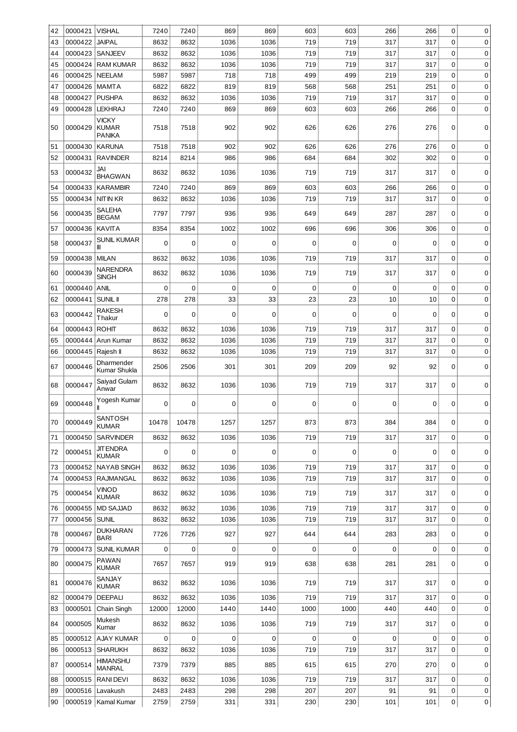| 42       | 0000421            | <b>VISHAL</b>                                 | 7240         | 7240         | 869         | 869         | 603        | 603        | 266         | 266        | 0            | 0           |
|----------|--------------------|-----------------------------------------------|--------------|--------------|-------------|-------------|------------|------------|-------------|------------|--------------|-------------|
| 43       | 0000422            | <b>JAIPAL</b>                                 | 8632         | 8632         | 1036        | 1036        | 719        | 719        | 317         | 317        | 0            | 0           |
| 44       | 0000423            | SANJEEV                                       | 8632         | 8632         | 1036        | 1036        | 719        | 719        | 317         | 317        | 0            | 0           |
| 45       | 0000424            | <b>RAM KUMAR</b>                              | 8632         | 8632         | 1036        | 1036        | 719        | 719        | 317         | 317        | 0            | 0           |
| 46       | 0000425            | <b>NEELAM</b>                                 | 5987         | 5987         | 718         | 718         | 499        | 499        | 219         | 219        | 0            | 0           |
| 47       | 0000426            | <b>MAMTA</b>                                  | 6822         | 6822         | 819         | 819         | 568        | 568        | 251         | 251        | 0            | 0           |
| 48       | 0000427            | <b>PUSHPA</b>                                 | 8632         | 8632         | 1036        | 1036        | 719        | 719        | 317         | 317        | $\mathbf 0$  | $\mathbf 0$ |
| 49       | 0000428            | <b>LEKHRAJ</b>                                | 7240         | 7240         | 869         | 869         | 603        | 603        | 266         | 266        | 0            | 0           |
| 50       | 0000429            | <b>VICKY</b><br><b>KUMAR</b><br><b>PANIKA</b> | 7518         | 7518         | 902         | 902         | 626        | 626        | 276         | 276        | 0            | 0           |
| 51       | 0000430            | <b>KARUNA</b>                                 | 7518         | 7518         | 902         | 902         | 626        | 626        | 276         | 276        | 0            | 0           |
| 52       | 0000431            | <b>RAVINDER</b>                               | 8214         | 8214         | 986         | 986         | 684        | 684        | 302         | 302        | 0            | 0           |
|          |                    |                                               |              |              |             |             |            |            |             |            |              |             |
| 53<br>54 | 0000432<br>0000433 | JAI<br><b>BHAGWAN</b><br><b>KARAMBIR</b>      | 8632<br>7240 | 8632<br>7240 | 1036<br>869 | 1036<br>869 | 719<br>603 | 719<br>603 | 317<br>266  | 317<br>266 | 0<br>0       | 0<br>0      |
| 55       | 0000434            | <b>NIT IN KR</b>                              | 8632         | 8632         | 1036        | 1036        | 719        | 719        | 317         | 317        | 0            | 0           |
|          |                    | <b>SALEHA</b>                                 |              |              |             |             |            |            |             |            |              |             |
| 56       | 0000435            | <b>BEGAM</b>                                  | 7797         | 7797         | 936         | 936         | 649        | 649        | 287         | 287        | 0            | 0           |
| 57       | 0000436            | <b>KAVITA</b>                                 | 8354         | 8354         | 1002        | 1002        | 696        | 696        | 306         | 306        | 0            | 0           |
| 58       | 0000437            | <b>SUNIL KUMAR</b><br>Ш                       | $\mathbf 0$  | 0            | 0           | 0           | 0          | 0          | 0           | 0          | $\mathbf 0$  | 0           |
| 59       | 0000438            | <b>MILAN</b>                                  | 8632         | 8632         | 1036        | 1036        | 719        | 719        | 317         | 317        | $\mathbf 0$  | 0           |
| 60       | 0000439            | <b>NARENDRA</b><br><b>SINGH</b>               | 8632         | 8632         | 1036        | 1036        | 719        | 719        | 317         | 317        | 0            | 0           |
| 61       | 0000440            | <b>ANIL</b>                                   | $\mathbf 0$  | $\mathbf 0$  | $\mathbf 0$ | $\mathbf 0$ | 0          | 0          | $\mathsf 0$ | 0          | 0            | 0           |
| 62       | 0000441            | <b>SUNIL II</b>                               | 278          | 278          | 33          | 33          | 23         | 23         | 10          | 10         | 0            | 0           |
| 63       | 0000442            | RAKESH<br>Thakur                              | $\mathbf 0$  | 0            | $\mathbf 0$ | $\mathbf 0$ | 0          | 0          | $\mathbf 0$ | 0          | $\mathbf 0$  | 0           |
| 64       | 0000443            | <b>ROHIT</b>                                  | 8632         | 8632         | 1036        | 1036        | 719        | 719        | 317         | 317        | 0            | 0           |
| 65       | 0000444            | Arun Kumar                                    | 8632         | 8632         | 1036        | 1036        | 719        | 719        | 317         | 317        | 0            | 0           |
| 66       | 0000445 Rajesh II  |                                               | 8632         | 8632         | 1036        | 1036        | 719        | 719        | 317         | 317        | 0            | 0           |
| 67       | 0000446            | Dharmender<br>Kumar Shukla                    | 2506         | 2506         | 301         | 301         | 209        | 209        | 92          | 92         | 0            | 0           |
| 68       | 0000447            | Saiyad Gulam<br>Anwar                         | 8632         | 8632         | 1036        | 1036        | 719        | 719        | 317         | 317        | 0            | 0           |
| 69       | 0000448            | Yogesh Kumar                                  | $\mathbf 0$  | 0            | 0           | 0           | 0          | 0          | 0           | 0          | 0            | 0           |
| 70       | 0000449            | SANTOSH<br><b>KUMAR</b>                       | 10478        | 10478        | 1257        | 1257        | 873        | 873        | 384         | 384        | 0            | 0           |
| 71       | 0000450            | <b>SARVINDER</b>                              | 8632         | 8632         | 1036        | 1036        | 719        | 719        | 317         | 317        | 0            | 0           |
| 72       | 0000451            | <b>JIT ENDRA</b><br>KUMAR                     | 0            | 0            | $\mathbf 0$ | 0           | 0          | 0          | $\mathbf 0$ | 0          | $\Omega$     | 0           |
| 73       | 0000452            | <b>NAYAB SINGH</b>                            | 8632         | 8632         | 1036        | 1036        | 719        | 719        | 317         | 317        | $\Omega$     | 0           |
| 74       | 0000453            | <b>RAJMANGAL</b>                              | 8632         | 8632         | 1036        | 1036        | 719        | 719        | 317         | 317        | $\mathbf 0$  | 0           |
| 75       | 0000454            | Vinod<br><b>KUMAR</b>                         | 8632         | 8632         | 1036        | 1036        | 719        | 719        | 317         | 317        | 0            | 0           |
| 76       | 0000455            | <b>MD SAJJAD</b>                              | 8632         | 8632         | 1036        | 1036        | 719        | 719        | 317         | 317        | 0            | 0           |
| 77       | 0000456            | <b>SUNIL</b>                                  | 8632         | 8632         | 1036        | 1036        | 719        | 719        | 317         | 317        | $\mathbf 0$  | 0           |
| 78       | 0000467            | <b>DUKHARAN</b><br><b>BARI</b>                | 7726         | 7726         | 927         | 927         | 644        | 644        | 283         | 283        | 0            | 0           |
| 79       | 0000473            | <b>SUNIL KUMAR</b>                            | $\mathbf 0$  | $\Omega$     | 0           | $\Omega$    | 0          | 0          | $\Omega$    | 0          | 0            | 0           |
| 80       | 0000475            | <b>PAWAN</b><br><b>KUMAR</b>                  | 7657         | 7657         | 919         | 919         | 638        | 638        | 281         | 281        | 0            | 0           |
| 81       | 0000476            | SANJAY<br><b>KUMAR</b>                        | 8632         | 8632         | 1036        | 1036        | 719        | 719        | 317         | 317        | $\mathbf{0}$ | 0           |
| 82       | 0000479            | <b>DEEPALI</b>                                | 8632         | 8632         | 1036        | 1036        | 719        | 719        | 317         | 317        | 0            | 0           |
| 83       | 0000501            | Chain Singh                                   | 12000        | 12000        | 1440        | 1440        | 1000       | 1000       | 440         | 440        | $\Omega$     | 0           |
| 84       | 0000505            | Mukesh<br>Kumar                               | 8632         | 8632         | 1036        | 1036        | 719        | 719        | 317         | 317        | 0            | 0           |
| 85       | 0000512            | <b>AJAY KUMAR</b>                             | $\mathbf 0$  | $\Omega$     | $\mathbf 0$ | $\Omega$    | 0          | 0          | $\mathbf 0$ | 0          | 0            | 0           |
| 86       | 0000513            | <b>SHARUKH</b>                                | 8632         | 8632         | 1036        | 1036        | 719        | 719        | 317         | 317        | 0            | 0           |
| 87       | 0000514            | HIMANSHU<br><b>MANRAL</b>                     | 7379         | 7379         | 885         | 885         | 615        | 615        | 270         | 270        | 0            | 0           |
| 88       | 0000515            | <b>RANIDEVI</b>                               | 8632         | 8632         | 1036        | 1036        | 719        | 719        | 317         | 317        | 0            | 0           |
| 89       | 0000516            | Lavakush                                      | 2483         | 2483         | 298         | 298         | 207        | 207        | 91          | 91         | 0            | 0           |
| 90       | 0000519            | Kamal Kumar                                   | 2759         | 2759         | 331         | 331         | 230        | 230        | 101         | 101        | 0            | 0           |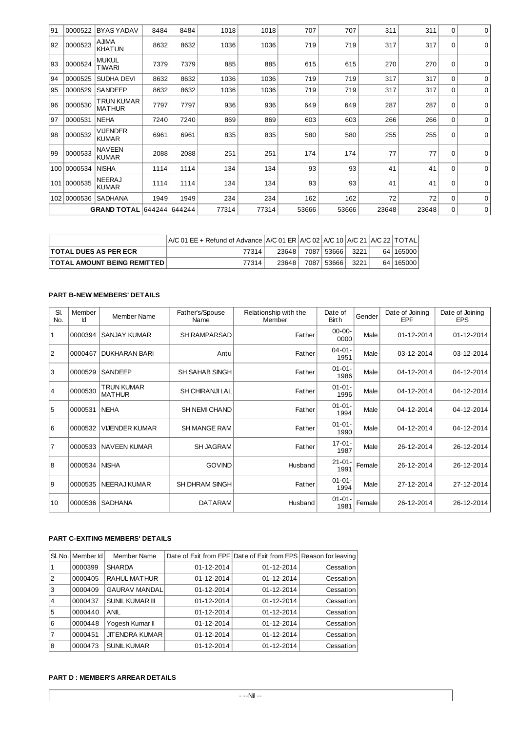| 91  | 0000522     | <b>BYAS YADAV</b>                | 8484 | 8484 | 1018  | 1018  | 707   | 707   | 311   | 311   | $\Omega$ | 0           |
|-----|-------------|----------------------------------|------|------|-------|-------|-------|-------|-------|-------|----------|-------------|
| 92  | 0000523     | <b>AJIMA</b><br><b>KHATUN</b>    | 8632 | 8632 | 1036  | 1036  | 719   | 719   | 317   | 317   | 0        | $\mathbf 0$ |
| 93  | 0000524     | <b>MUKUL</b><br><b>TIWARI</b>    | 7379 | 7379 | 885   | 885   | 615   | 615   | 270   | 270   | 0        | 0           |
| 94  | 0000525     | SUDHA DEVI                       | 8632 | 8632 | 1036  | 1036  | 719   | 719   | 317   | 317   | $\Omega$ | 0           |
| 95  | 0000529     | <b>SANDEEP</b>                   | 8632 | 8632 | 1036  | 1036  | 719   | 719   | 317   | 317   | 0        | 0           |
| 96  | 0000530     | TRUN KUMAR<br><b>MATHUR</b>      | 7797 | 7797 | 936   | 936   | 649   | 649   | 287   | 287   | 0        | 0           |
| 97  | 0000531     | <b>NEHA</b>                      | 7240 | 7240 | 869   | 869   | 603   | 603   | 266   | 266   | 0        | 0           |
| 98  | 0000532     | <b>VIJENDER</b><br><b>KUMAR</b>  | 6961 | 6961 | 835   | 835   | 580   | 580   | 255   | 255   | 0        | $\mathbf 0$ |
| 99  | 0000533     | <b>NAVEEN</b><br><b>KUMAR</b>    | 2088 | 2088 | 251   | 251   | 174   | 174   | 77    | 77    | $\Omega$ | $\mathbf 0$ |
| 100 | 0000534     | <b>NISHA</b>                     | 1114 | 1114 | 134   | 134   | 93    | 93    | 41    | 41    | $\Omega$ | $\mathbf 0$ |
| 101 | 0000535     | <b>NEERAJ</b><br><b>KUMAR</b>    | 1114 | 1114 | 134   | 134   | 93    | 93    | 41    | 41    | $\Omega$ | $\mathbf 0$ |
|     | 102 0000536 | <b>SADHANA</b>                   | 1949 | 1949 | 234   | 234   | 162   | 162   | 72    | 72    | $\Omega$ | 0           |
|     |             | <b>GRAND TOTAL 644244 644244</b> |      |      | 77314 | 77314 | 53666 | 53666 | 23648 | 23648 | 0        | $\mathbf 0$ |

|                                    | A/C 01 EE + Refund of Advance   A/C 01 ER   A/C 02   A/C 10   A/C 21   A/C 22   TOTAL |        |            |      |             |
|------------------------------------|---------------------------------------------------------------------------------------|--------|------------|------|-------------|
| <b>TOTAL DUES AS PER ECR</b>       | 77314                                                                                 | 236481 | 7087 53666 | 3221 | 64   165000 |
| <b>TOTAL AMOUNT BEING REMITTED</b> | 77314                                                                                 | 23648  | 7087 53666 | 3221 | 64   165000 |

# **PART B-NEW MEMBERS' DETAILS**

| SI.<br>No.     | Member<br>Ιd | <b>Member Name</b>                 | Father's/Spouse<br>Name | Relationship with the<br>Member | Date of<br>Birth    | Gender | Date of Joining<br>EPF | Date of Joining<br><b>EPS</b> |
|----------------|--------------|------------------------------------|-------------------------|---------------------------------|---------------------|--------|------------------------|-------------------------------|
| $\mathbf{1}$   | 0000394      | <b>SANJAY KUMAR</b>                | <b>SH RAMPARSAD</b>     | Father                          | $00 - 00 -$<br>0000 | Male   | 01-12-2014             | 01-12-2014                    |
| $\overline{2}$ | 0000467      | <b>DUKHARAN BARI</b>               | Antu                    | Father                          | $04 - 01 -$<br>1951 | Male   | 03-12-2014             | 03-12-2014                    |
| 3              | 0000529      | <b>SANDEEP</b>                     | <b>SH SAHAB SINGH</b>   | Father                          | $01 - 01 -$<br>1986 | Male   | 04-12-2014             | 04-12-2014                    |
| $\overline{4}$ | 0000530      | <b>TRUN KUMAR</b><br><b>MATHUR</b> | <b>SH CHIRANJI LAL</b>  | Father                          | $01 - 01 -$<br>1996 | Male   | 04-12-2014             | 04-12-2014                    |
| 5              | 0000531      | <b>NEHA</b>                        | <b>SH NEMI CHAND</b>    | Father                          | $01 - 01 -$<br>1994 | Male   | 04-12-2014             | 04-12-2014                    |
| 6              | 0000532      | <b>VIJENDER KUMAR</b>              | <b>SH MANGE RAM</b>     | Father                          | $01 - 01 -$<br>1990 | Male   | 04-12-2014             | 04-12-2014                    |
| $\overline{7}$ | 0000533      | <b>NAVEEN KUMAR</b>                | <b>SH JAGRAM</b>        | Father                          | $17-01-$<br>1987    | Male   | 26-12-2014             | 26-12-2014                    |
| 8              | 0000534      | <b>NISHA</b>                       | <b>GOVIND</b>           | Husband                         | $21 - 01 -$<br>1991 | Female | 26-12-2014             | 26-12-2014                    |
| 9              | 0000535      | <b>NEERAJ KUMAR</b>                | <b>SH DHRAM SINGH</b>   | Father                          | $01 - 01 -$<br>1994 | Male   | 27-12-2014             | 27-12-2014                    |
| 10             | 0000536      | <b>SADHANA</b>                     | <b>DATARAM</b>          | Husband                         | $01 - 01 -$<br>1981 | Female | 26-12-2014             | 26-12-2014                    |

# **PART C-EXITING MEMBERS' DETAILS**

|                | SI, No.   Member Id | <b>Member Name</b>     |            | Date of Exit from EPF Date of Exit from EPS Reason for leaving |           |
|----------------|---------------------|------------------------|------------|----------------------------------------------------------------|-----------|
|                | 0000399             | <b>SHARDA</b>          | 01-12-2014 | 01-12-2014                                                     | Cessation |
| $\overline{2}$ | 0000405             | RAHUL MATHUR           | 01-12-2014 | 01-12-2014                                                     | Cessation |
| 3              | 0000409             | <b>GAURAV MANDAL</b>   | 01-12-2014 | 01-12-2014                                                     | Cessation |
| $\overline{4}$ | 0000437             | <b>SUNIL KUMAR III</b> | 01-12-2014 | 01-12-2014                                                     | Cessation |
| 5              | 0000440             | <b>ANIL</b>            | 01-12-2014 | 01-12-2014                                                     | Cessation |
| 6              | 0000448             | Yogesh Kumar II        | 01-12-2014 | 01-12-2014                                                     | Cessation |
|                | 0000451             | <b>JIT ENDRA KUMAR</b> | 01-12-2014 | 01-12-2014                                                     | Cessation |
| 8              | 0000473             | <b>SUNIL KUMAR</b>     | 01-12-2014 | 01-12-2014                                                     | Cessation |

## **PART D : MEMBER'S ARREAR DETAILS**